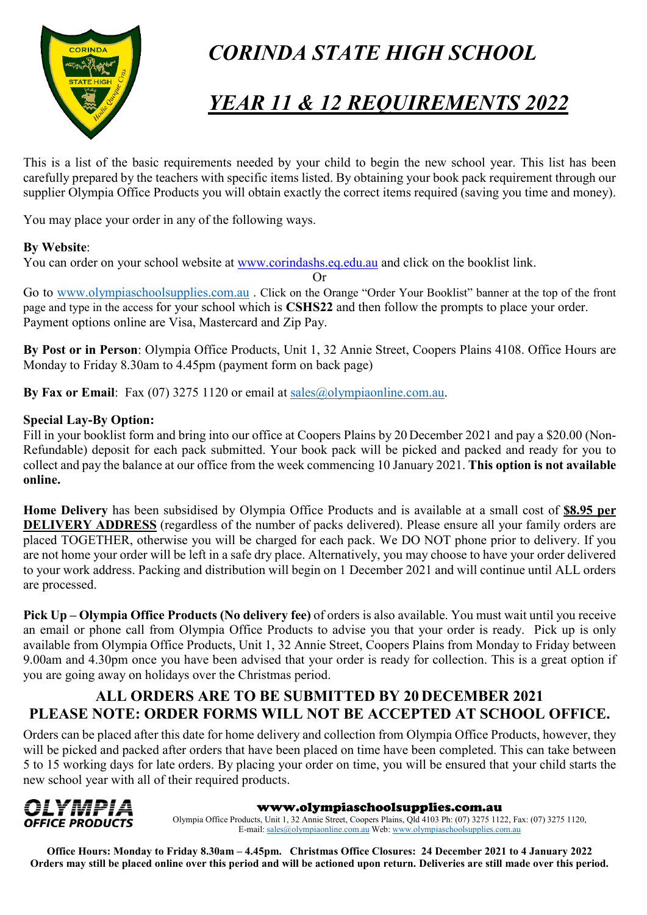

# *CORINDA STATE HIGH SCHOOL*

# *YEAR 11 & 12 REQUIREMENTS 2022*

This is a list of the basic requirements needed by your child to begin the new school year. This list has been carefully prepared by the teachers with specific items listed. By obtaining your book pack requirement through our supplier Olympia Office Products you will obtain exactly the correct items required (saving you time and money).

You may place your order in any of the following ways.

#### **By Website**:

You can order on your school website at [www.corindashs.eq.edu.au](http://www.corindashs.eq.edu.au/) and click on the booklist link.

Or

Go to [www.olympiaschoolsupplies.com.au](http://www.olympiaschoolsupplies.com.au/) . Click on the Orange "Order Your Booklist" banner at the top of the front page and type in the access for your school which is **CSHS22** and then follow the prompts to place your order. Payment options online are Visa, Mastercard and Zip Pay.

**By Post or in Person**: Olympia Office Products, Unit 1, 32 Annie Street, Coopers Plains 4108. Office Hours are Monday to Friday 8.30am to 4.45pm (payment form on back page)

**By Fax or Email**: Fax (07) 3275 1120 or email at [sales@olympiaonline.com.au.](mailto:sales@olympiaonline.com.au)

#### **Special Lay-By Option:**

Fill in your booklist form and bring into our office at Coopers Plains by 20 December 2021 and pay a \$20.00 (Non-Refundable) deposit for each pack submitted. Your book pack will be picked and packed and ready for you to collect and pay the balance at our office from the week commencing 10 January 2021. **This option is not available online.**

**Home Delivery** has been subsidised by Olympia Office Products and is available at a small cost of **\$8.95 per DELIVERY ADDRESS** (regardless of the number of packs delivered). Please ensure all your family orders are placed TOGETHER, otherwise you will be charged for each pack. We DO NOT phone prior to delivery. If you are not home your order will be left in a safe dry place. Alternatively, you may choose to have your order delivered to your work address. Packing and distribution will begin on 1 December 2021 and will continue until ALL orders are processed.

**Pick Up – Olympia Office Products (No delivery fee)** of orders is also available. You must wait until you receive an email or phone call from Olympia Office Products to advise you that your order is ready. Pick up is only available from Olympia Office Products, Unit 1, 32 Annie Street, Coopers Plains from Monday to Friday between 9.00am and 4.30pm once you have been advised that your order is ready for collection. This is a great option if you are going away on holidays over the Christmas period.

### **ALL ORDERS ARE TO BE SUBMITTED BY 20 DECEMBER 2021 PLEASE NOTE: ORDER FORMS WILL NOT BE ACCEPTED AT SCHOOL OFFICE.**

Orders can be placed after this date for home delivery and collection from Olympia Office Products, however, they will be picked and packed after orders that have been placed on time have been completed. This can take between 5 to 15 working days for late orders. By placing your order on time, you will be ensured that your child starts the new school year with all of their required products.



#### www.olympiaschoolsupplies.com.au

Olympia Office Products, Unit 1, 32 Annie Street, Coopers Plains, Qld 4103 Ph: (07) 3275 1122, Fax: (07) 3275 1120, E-mail[: sales@olympiaonline.com.au](mailto:sales@olympiaonline.com.au) Web[: www.olympiaschoolsupplies.com.au](http://www.olympiaschoolsupplies.com.au/)

**Office Hours: Monday to Friday 8.30am – 4.45pm. Christmas Office Closures: 24 December 2021 to 4 January 2022 Orders may still be placed online over this period and will be actioned upon return. Deliveries are still made over this period.**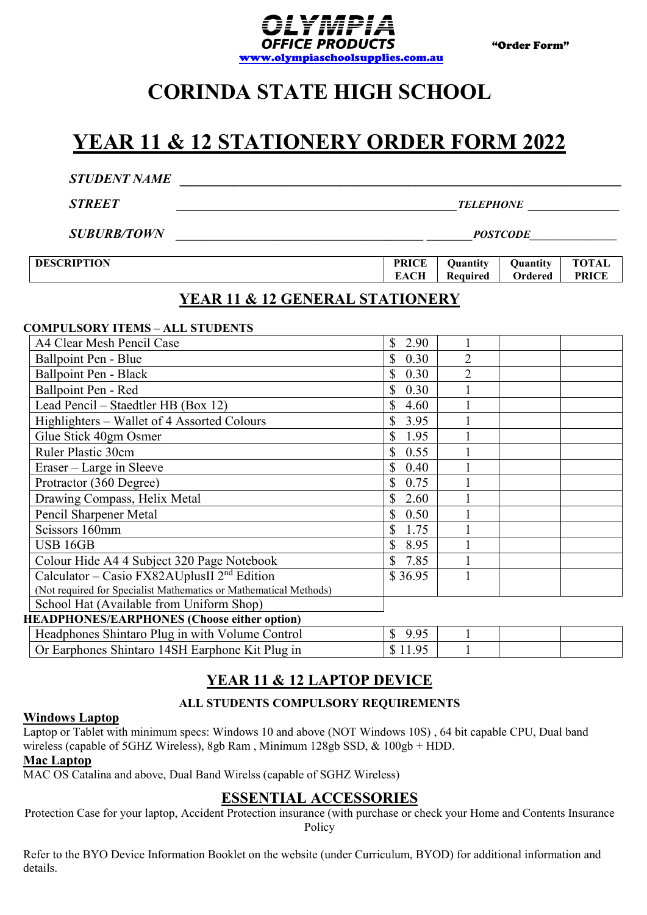

# **CORINDA STATE HIGH SCHOOL**

## **YEAR 11 & 12 STATIONERY ORDER FORM 2022**

| <b>STUDENT NAME</b>                        |                      |                      |                     |                              |  |  |  |
|--------------------------------------------|----------------------|----------------------|---------------------|------------------------------|--|--|--|
| <b>STREET</b>                              | <b>TELEPHONE</b>     |                      |                     |                              |  |  |  |
| <b>SUBURB/TOWN</b>                         | <i>POSTCODE</i>      |                      |                     |                              |  |  |  |
| <b>DESCRIPTION</b>                         | <b>PRICE</b><br>EACH | Quantity<br>Required | Quantity<br>Ordered | <b>TOTAL</b><br><b>PRICE</b> |  |  |  |
| <b>YEAR 11 &amp; 12 GENERAL STATIONERY</b> |                      |                      |                     |                              |  |  |  |

#### **COMPULSORY ITEMS – ALL STUDENTS**

| A4 Clear Mesh Pencil Case                                         | $\mathbb{S}$<br>2.90 |                |  |
|-------------------------------------------------------------------|----------------------|----------------|--|
| Ballpoint Pen - Blue                                              | 0.30                 |                |  |
| Ballpoint Pen - Black                                             | 0.30                 | $\overline{2}$ |  |
| Ballpoint Pen - Red                                               | 0.30                 |                |  |
| Lead Pencil – Staedtler HB (Box 12)                               | \$<br>4.60           |                |  |
| Highlighters - Wallet of 4 Assorted Colours                       | 3.95                 |                |  |
| Glue Stick 40gm Osmer                                             | 1.95                 |                |  |
| <b>Ruler Plastic 30cm</b>                                         | 0.55                 |                |  |
| Eraser – Large in Sleeve                                          | 0.40                 |                |  |
| Protractor (360 Degree)                                           | 0.75                 |                |  |
| Drawing Compass, Helix Metal                                      | 2.60                 |                |  |
| Pencil Sharpener Metal                                            | \$<br>0.50           |                |  |
| Scissors 160mm                                                    | 1.75                 |                |  |
| <b>USB 16GB</b>                                                   | 8.95                 |                |  |
| Colour Hide A4 4 Subject 320 Page Notebook                        | 7.85                 |                |  |
| Calculator – Casio FX82AUplusII $2nd$ Edition                     | \$36.95              |                |  |
| (Not required for Specialist Mathematics or Mathematical Methods) |                      |                |  |
| School Hat (Available from Uniform Shop)                          |                      |                |  |
| <b>HEADPHONES/EARPHONES (Choose either option)</b>                |                      |                |  |
| Headphones Shintaro Plug in with Volume Control                   | $\mathbb{S}$<br>9.95 |                |  |
| Or Earphones Shintaro 14SH Earphone Kit Plug in                   | \$11.95              |                |  |

## **YEAR 11 & 12 LAPTOP DEVICE**

### **ALL STUDENTS COMPULSORY REQUIREMENTS**

#### **Windows Laptop**

Laptop or Tablet with minimum specs: Windows 10 and above (NOT Windows 10S) , 64 bit capable CPU, Dual band wireless (capable of 5GHZ Wireless), 8gb Ram , Minimum 128gb SSD, & 100gb + HDD.

#### **Mac Laptop**

MAC OS Catalina and above, Dual Band Wirelss (capable of SGHZ Wireless)

### **ESSENTIAL ACCESSORIES**

Protection Case for your laptop, Accident Protection insurance (with purchase or check your Home and Contents Insurance Policy

Refer to the BYO Device Information Booklet on the website (under Curriculum, BYOD) for additional information and details.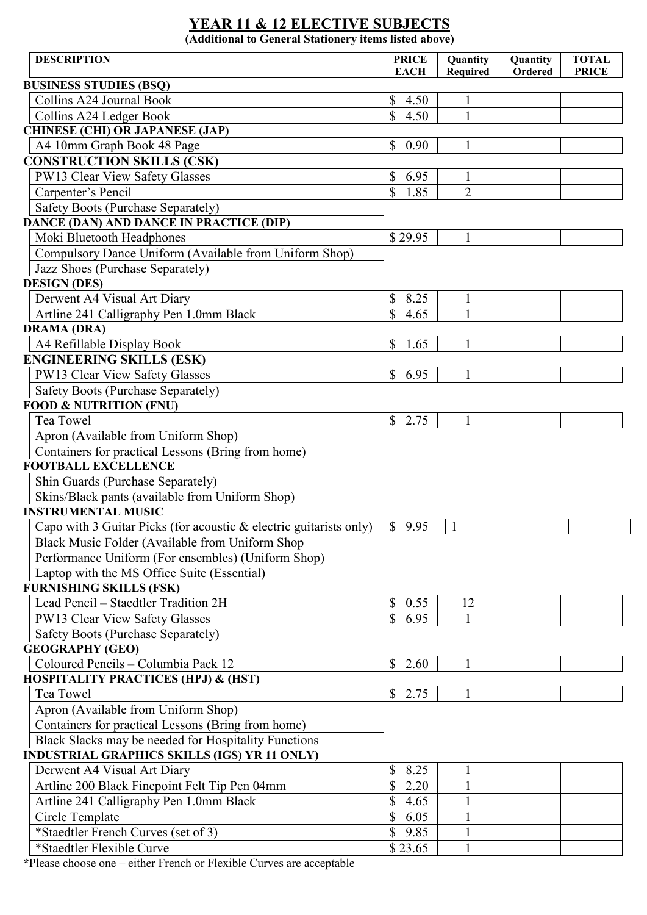## **YEAR 11 & 12 ELECTIVE SUBJECTS**

**(Additional to General Stationery items listed above)**

| <b>DESCRIPTION</b>                                                 | <b>PRICE</b>         | Quantity       | Quantity | <b>TOTAL</b> |
|--------------------------------------------------------------------|----------------------|----------------|----------|--------------|
|                                                                    | <b>EACH</b>          | Required       | Ordered  | <b>PRICE</b> |
| <b>BUSINESS STUDIES (BSQ)</b>                                      |                      |                |          |              |
| Collins A24 Journal Book                                           | \$<br>4.50           | 1              |          |              |
| Collins A24 Ledger Book                                            | \$<br>4.50           | $\mathbf{1}$   |          |              |
| <b>CHINESE (CHI) OR JAPANESE (JAP)</b>                             |                      |                |          |              |
| A4 10mm Graph Book 48 Page                                         | \$<br>0.90           | $\mathbf{1}$   |          |              |
| <b>CONSTRUCTION SKILLS (CSK)</b>                                   |                      |                |          |              |
| PW13 Clear View Safety Glasses                                     | \$<br>6.95           | 1              |          |              |
| Carpenter's Pencil                                                 | \$<br>1.85           | $\overline{2}$ |          |              |
| Safety Boots (Purchase Separately)                                 |                      |                |          |              |
| DANCE (DAN) AND DANCE IN PRACTICE (DIP)                            |                      |                |          |              |
| Moki Bluetooth Headphones                                          | \$29.95              | 1              |          |              |
| Compulsory Dance Uniform (Available from Uniform Shop)             |                      |                |          |              |
| Jazz Shoes (Purchase Separately)                                   |                      |                |          |              |
| <b>DESIGN (DES)</b>                                                |                      |                |          |              |
| Derwent A4 Visual Art Diary                                        | \$<br>8.25           | $\mathbf{1}$   |          |              |
| Artline 241 Calligraphy Pen 1.0mm Black                            | \$<br>4.65           | 1              |          |              |
| <b>DRAMA (DRA)</b>                                                 |                      |                |          |              |
| A4 Refillable Display Book                                         | \$<br>1.65           | $\mathbf{1}$   |          |              |
| <b>ENGINEERING SKILLS (ESK)</b>                                    |                      |                |          |              |
| PW13 Clear View Safety Glasses                                     | $\mathbb{S}$<br>6.95 | 1              |          |              |
| Safety Boots (Purchase Separately)                                 |                      |                |          |              |
| <b>FOOD &amp; NUTRITION (FNU)</b>                                  |                      |                |          |              |
| Tea Towel                                                          | $\mathbb{S}$<br>2.75 |                |          |              |
| Apron (Available from Uniform Shop)                                |                      |                |          |              |
| Containers for practical Lessons (Bring from home)                 |                      |                |          |              |
| <b>FOOTBALL EXCELLENCE</b>                                         |                      |                |          |              |
| Shin Guards (Purchase Separately)                                  |                      |                |          |              |
| Skins/Black pants (available from Uniform Shop)                    |                      |                |          |              |
| <b>INSTRUMENTAL MUSIC</b>                                          |                      |                |          |              |
| Capo with 3 Guitar Picks (for acoustic & electric guitarists only) | \$9.95               | $\mathbf{1}$   |          |              |
| Black Music Folder (Available from Uniform Shop                    |                      |                |          |              |
| Performance Uniform (For ensembles) (Uniform Shop)                 |                      |                |          |              |
| Laptop with the MS Office Suite (Essential)                        |                      |                |          |              |
| <b>FURNISHING SKILLS (FSK)</b>                                     |                      |                |          |              |
| Lead Pencil - Staedtler Tradition 2H                               | \$<br>0.55           | 12             |          |              |
| PW13 Clear View Safety Glasses                                     | \$<br>6.95           | $\mathbf{1}$   |          |              |
| Safety Boots (Purchase Separately)                                 |                      |                |          |              |
| <b>GEOGRAPHY (GEO)</b>                                             |                      |                |          |              |
| Coloured Pencils - Columbia Pack 12                                | \$<br>2.60           | 1              |          |              |
| <b>HOSPITALITY PRACTICES (HPJ) &amp; (HST)</b>                     |                      |                |          |              |
| Tea Towel                                                          | $\mathbb{S}$<br>2.75 |                |          |              |
| Apron (Available from Uniform Shop)                                |                      |                |          |              |
| Containers for practical Lessons (Bring from home)                 |                      |                |          |              |
| Black Slacks may be needed for Hospitality Functions               |                      |                |          |              |
| <b>INDUSTRIAL GRAPHICS SKILLS (IGS) YR 11 ONLY)</b>                |                      |                |          |              |
| Derwent A4 Visual Art Diary                                        | 8.25<br>\$           | $\mathbf{1}$   |          |              |
| Artline 200 Black Finepoint Felt Tip Pen 04mm                      | \$<br>2.20           |                |          |              |
| Artline 241 Calligraphy Pen 1.0mm Black                            | \$<br>4.65           | 1              |          |              |
| Circle Template                                                    | \$<br>6.05           | 1              |          |              |
| *Staedtler French Curves (set of 3)                                | 9.85<br>\$           | 1              |          |              |
| *Staedtler Flexible Curve                                          | \$23.65              | $\mathbf{1}$   |          |              |

**\***Please choose one – either French or Flexible Curves are acceptable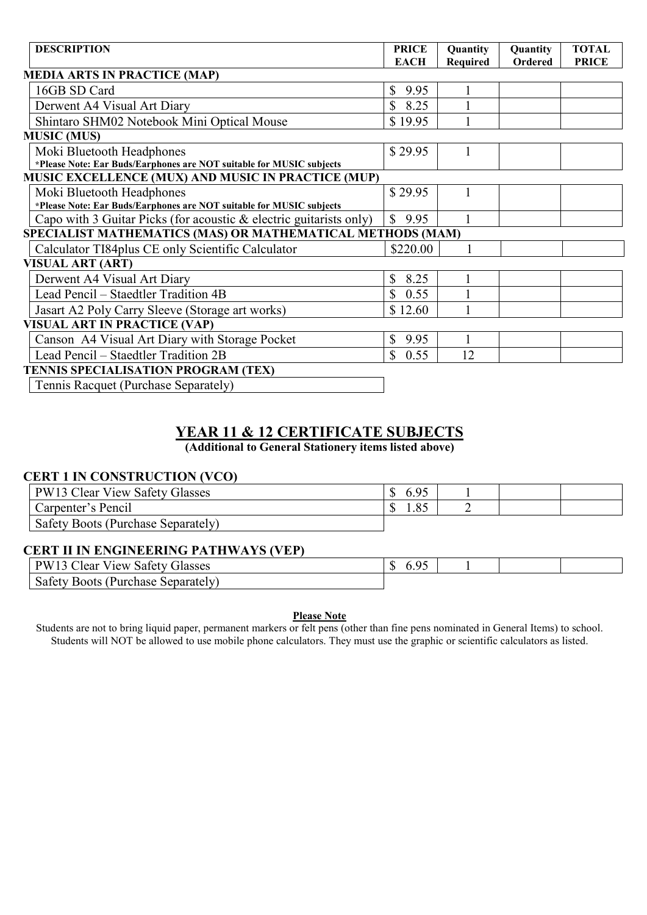| <b>DESCRIPTION</b>                                                   | <b>PRICE</b><br><b>EACH</b> | Quantity<br><b>Required</b> | Quantity<br>Ordered | <b>TOTAL</b><br><b>PRICE</b> |
|----------------------------------------------------------------------|-----------------------------|-----------------------------|---------------------|------------------------------|
| <b>MEDIA ARTS IN PRACTICE (MAP)</b>                                  |                             |                             |                     |                              |
| 16GB SD Card                                                         | 9.95<br>$\mathbb{S}$        |                             |                     |                              |
| Derwent A4 Visual Art Diary                                          | \$8.25                      |                             |                     |                              |
| Shintaro SHM02 Notebook Mini Optical Mouse                           | \$19.95                     |                             |                     |                              |
| <b>MUSIC (MUS)</b>                                                   |                             |                             |                     |                              |
| Moki Bluetooth Headphones                                            | \$29.95                     |                             |                     |                              |
| *Please Note: Ear Buds/Earphones are NOT suitable for MUSIC subjects |                             |                             |                     |                              |
| MUSIC EXCELLENCE (MUX) AND MUSIC IN PRACTICE (MUP)                   |                             |                             |                     |                              |
| Moki Bluetooth Headphones                                            | \$29.95                     |                             |                     |                              |
| *Please Note: Ear Buds/Earphones are NOT suitable for MUSIC subjects |                             |                             |                     |                              |
| Capo with 3 Guitar Picks (for acoustic & electric guitarists only)   | $\mathbb{S}$<br>9.95        |                             |                     |                              |
| SPECIALIST MATHEMATICS (MAS) OR MATHEMATICAL METHODS (MAM)           |                             |                             |                     |                              |
| Calculator TI84plus CE only Scientific Calculator                    | \$220.00                    |                             |                     |                              |
| <b>VISUAL ART (ART)</b>                                              |                             |                             |                     |                              |
| Derwent A4 Visual Art Diary                                          | 8.25<br>$\mathbb{S}$        |                             |                     |                              |
| Lead Pencil – Staedtler Tradition 4B                                 | 0.55<br>$\mathbb{S}$        |                             |                     |                              |
| Jasart A2 Poly Carry Sleeve (Storage art works)                      | \$12.60                     |                             |                     |                              |
| <b>VISUAL ART IN PRACTICE (VAP)</b>                                  |                             |                             |                     |                              |
| Canson A4 Visual Art Diary with Storage Pocket                       | $\mathbb{S}$<br>9.95        |                             |                     |                              |
| Lead Pencil - Staedtler Tradition 2B                                 | $\mathbb{S}$<br>0.55        | 12                          |                     |                              |
| TENNIS SPECIALISATION PROGRAM (TEX)                                  |                             |                             |                     |                              |
| Tennis Racquet (Purchase Separately)                                 |                             |                             |                     |                              |

### **YEAR 11 & 12 CERTIFICATE SUBJECTS**

**(Additional to General Stationery items listed above)**

#### **CERT 1 IN CONSTRUCTION (VCO)**

| <b>PW13 Clear View Safety Glasses</b> | 6.95        |  |  |
|---------------------------------------|-------------|--|--|
| Carpenter's Pencil                    | $O \subset$ |  |  |
| Safety Boots (Purchase Separately)    |             |  |  |

#### **CERT II IN ENGINEERING PATHWAYS (VEP)**

| <b>PW13 Clear View Safety Glasses</b> |  |  |
|---------------------------------------|--|--|
| Safety Boots (Purchase Separately)    |  |  |

#### **Please Note**

Students are not to bring liquid paper, permanent markers or felt pens (other than fine pens nominated in General Items) to school. Students will NOT be allowed to use mobile phone calculators. They must use the graphic or scientific calculators as listed.